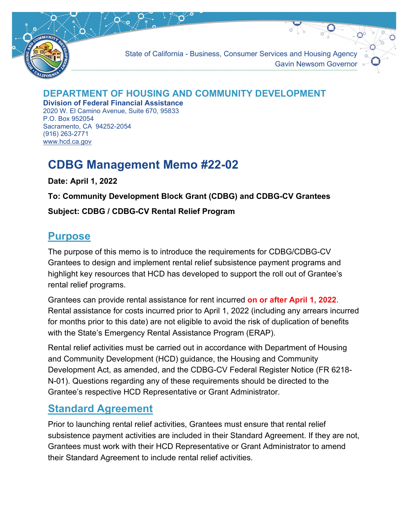

State of California - Business, Consumer Services and Housing Agency Gavin Newsom Governor

#### **DEPARTMENT OF HOUSING AND COMMUNITY DEVELOPMENT**

**Division of Federal Financial Assistance** 2020 W. El Camino Avenue, Suite 670, 95833 P.O. Box 952054 Sacramento, CA 94252-2054 (916) 263-2771 [www.hcd.ca.gov](http://www.hcd.ca.gov/)

# **CDBG Management Memo #22-02**

**Date: April 1, 2022**

**To: Community Development Block Grant (CDBG) and CDBG-CV Grantees**

#### **Subject: CDBG / CDBG-CV Rental Relief Program**

#### **Purpose**

The purpose of this memo is to introduce the requirements for CDBG/CDBG-CV Grantees to design and implement rental relief subsistence payment programs and highlight key resources that HCD has developed to support the roll out of Grantee's rental relief programs.

Grantees can provide rental assistance for rent incurred **on or after April 1, 2022**. Rental assistance for costs incurred prior to April 1, 2022 (including any arrears incurred for months prior to this date) are not eligible to avoid the risk of duplication of benefits with the State's Emergency Rental Assistance Program (ERAP).

Rental relief activities must be carried out in accordance with Department of Housing and Community Development (HCD) guidance, the Housing and Community Development Act, as amended, and the CDBG-CV Federal Register Notice (FR 6218- N-01). Questions regarding any of these requirements should be directed to the Grantee's respective HCD Representative or Grant Administrator.

## **Standard Agreement**

Prior to launching rental relief activities, Grantees must ensure that rental relief subsistence payment activities are included in their Standard Agreement. If they are not, Grantees must work with their HCD Representative or Grant Administrator to amend their Standard Agreement to include rental relief activities.